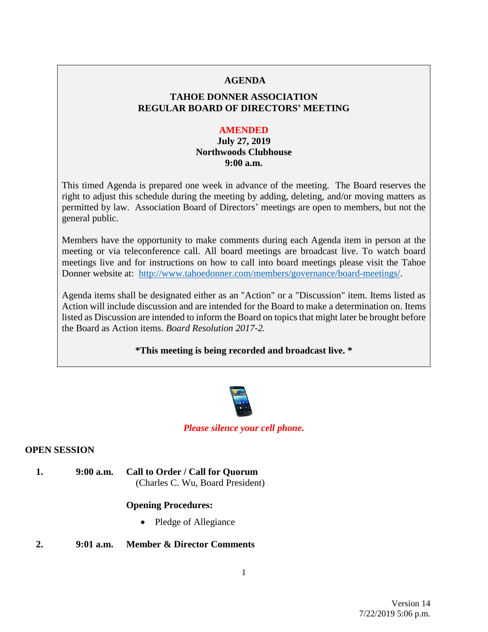## **AGENDA**

# **TAHOE DONNER ASSOCIATION REGULAR BOARD OF DIRECTORS' MEETING**

## **AMENDED**

# **July 27, 2019 Northwoods Clubhouse 9:00 a.m.**

This timed Agenda is prepared one week in advance of the meeting. The Board reserves the right to adjust this schedule during the meeting by adding, deleting, and/or moving matters as permitted by law. Association Board of Directors' meetings are open to members, but not the general public.

Members have the opportunity to make comments during each Agenda item in person at the meeting or via teleconference call. All board meetings are broadcast live. To watch board meetings live and for instructions on how to call into board meetings please visit the Tahoe Donner website at: [http://www.tahoedonner.com/members/governance/board-meetings/.](http://www.tahoedonner.com/members/governance/board-meetings/)

Agenda items shall be designated either as an "Action" or a "Discussion" item. Items listed as Action will include discussion and are intended for the Board to make a determination on. Items listed as Discussion are intended to inform the Board on topics that might later be brought before the Board as Action items. *Board Resolution 2017-2.*

# **\*This meeting is being recorded and broadcast live. \***



# *Please silence your cell phone.*

# **OPEN SESSION**

**1. 9:00 a.m. Call to Order / Call for Quorum** (Charles C. Wu, Board President)

# **Opening Procedures:**

• Pledge of Allegiance

# **2. 9:01 a.m. Member & Director Comments**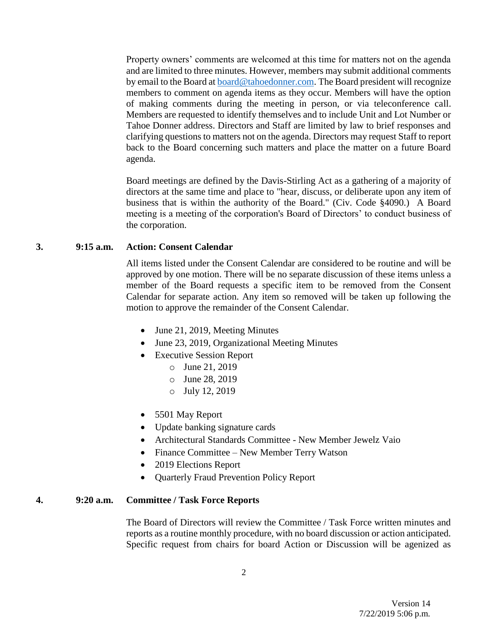Property owners' comments are welcomed at this time for matters not on the agenda and are limited to three minutes. However, members may submit additional comments by email to the Board at [board@tahoedonner.com.](mailto:board@tahoedonner.com) The Board president will recognize members to comment on agenda items as they occur. Members will have the option of making comments during the meeting in person, or via teleconference call. Members are requested to identify themselves and to include Unit and Lot Number or Tahoe Donner address. Directors and Staff are limited by law to brief responses and clarifying questions to matters not on the agenda. Directors may request Staff to report back to the Board concerning such matters and place the matter on a future Board agenda.

Board meetings are defined by the Davis-Stirling Act as a gathering of a majority of directors at the same time and place to "hear, discuss, or deliberate upon any item of business that is within the authority of the Board." (Civ. Code §4090.) A Board meeting is a meeting of the corporation's Board of Directors' to conduct business of the corporation.

### **3. 9:15 a.m. Action: Consent Calendar**

All items listed under the Consent Calendar are considered to be routine and will be approved by one motion. There will be no separate discussion of these items unless a member of the Board requests a specific item to be removed from the Consent Calendar for separate action. Any item so removed will be taken up following the motion to approve the remainder of the Consent Calendar.

- June 21, 2019, Meeting Minutes
- June 23, 2019, Organizational Meeting Minutes
- Executive Session Report
	- o June 21, 2019
	- o June 28, 2019
	- o July 12, 2019
- 5501 May Report
- Update banking signature cards
- Architectural Standards Committee New Member Jewelz Vaio
- Finance Committee New Member Terry Watson
- 2019 Elections Report
- Quarterly Fraud Prevention Policy Report

### **4. 9:20 a.m. Committee / Task Force Reports**

The Board of Directors will review the Committee / Task Force written minutes and reports as a routine monthly procedure, with no board discussion or action anticipated. Specific request from chairs for board Action or Discussion will be agenized as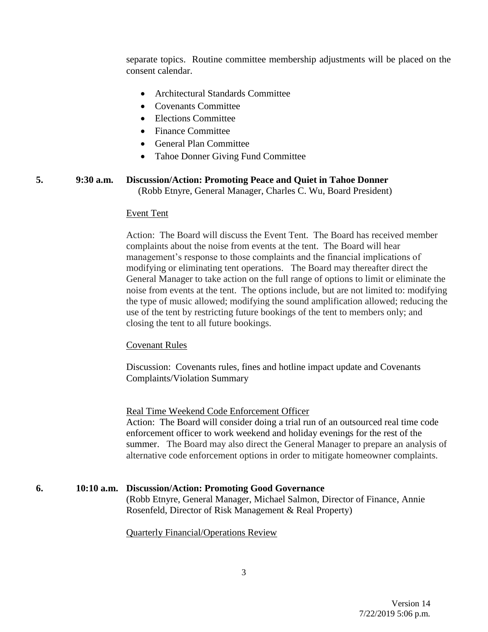separate topics. Routine committee membership adjustments will be placed on the consent calendar.

- Architectural Standards Committee
- Covenants Committee
- Elections Committee
- Finance Committee
- General Plan Committee
- Tahoe Donner Giving Fund Committee

### **5. 9:30 a.m. Discussion/Action: Promoting Peace and Quiet in Tahoe Donner** (Robb Etnyre, General Manager, Charles C. Wu, Board President)

#### Event Tent

Action: The Board will discuss the Event Tent. The Board has received member complaints about the noise from events at the tent. The Board will hear management's response to those complaints and the financial implications of modifying or eliminating tent operations. The Board may thereafter direct the General Manager to take action on the full range of options to limit or eliminate the noise from events at the tent. The options include, but are not limited to: modifying the type of music allowed; modifying the sound amplification allowed; reducing the use of the tent by restricting future bookings of the tent to members only; and closing the tent to all future bookings.

#### Covenant Rules

Discussion: Covenants rules, fines and hotline impact update and Covenants Complaints/Violation Summary

#### Real Time Weekend Code Enforcement Officer

Action: The Board will consider doing a trial run of an outsourced real time code enforcement officer to work weekend and holiday evenings for the rest of the summer. The Board may also direct the General Manager to prepare an analysis of alternative code enforcement options in order to mitigate homeowner complaints.

# **6. 10:10 a.m. Discussion/Action: Promoting Good Governance**

(Robb Etnyre, General Manager, Michael Salmon, Director of Finance, Annie Rosenfeld, Director of Risk Management & Real Property)

#### Quarterly Financial/Operations Review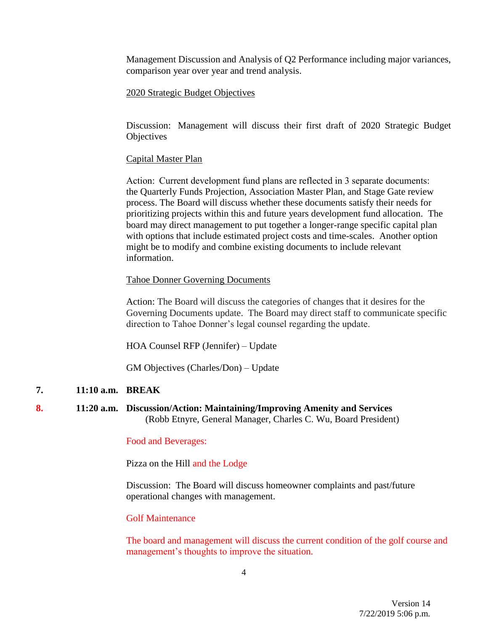Management Discussion and Analysis of Q2 Performance including major variances, comparison year over year and trend analysis.

### 2020 Strategic Budget Objectives

Discussion: Management will discuss their first draft of 2020 Strategic Budget **Objectives** 

## Capital Master Plan

Action:  Current development fund plans are reflected in 3 separate documents: the Quarterly Funds Projection, Association Master Plan, and Stage Gate review process. The Board will discuss whether these documents satisfy their needs for prioritizing projects within this and future years development fund allocation. The board may direct management to put together a longer-range specific capital plan with options that include estimated project costs and time-scales. Another option might be to modify and combine existing documents to include relevant information.

#### Tahoe Donner Governing Documents

Action: The Board will discuss the categories of changes that it desires for the Governing Documents update. The Board may direct staff to communicate specific direction to Tahoe Donner's legal counsel regarding the update.

HOA Counsel RFP (Jennifer) – Update

GM Objectives (Charles/Don) – Update

### **7. 11:10 a.m. BREAK**

**8. 11:20 a.m. Discussion/Action: Maintaining/Improving Amenity and Services** (Robb Etnyre, General Manager, Charles C. Wu, Board President)

### Food and Beverages:

Pizza on the Hill and the Lodge

Discussion: The Board will discuss homeowner complaints and past/future operational changes with management.

## Golf Maintenance

The board and management will discuss the current condition of the golf course and management's thoughts to improve the situation.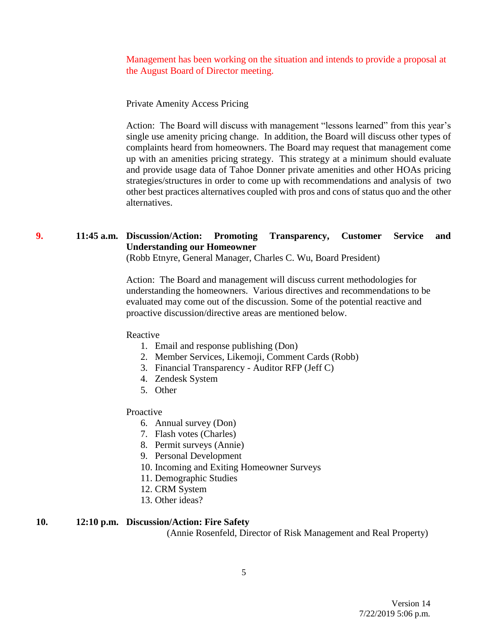Management has been working on the situation and intends to provide a proposal at the August Board of Director meeting.

Private Amenity Access Pricing

Action: The Board will discuss with management "lessons learned" from this year's single use amenity pricing change. In addition, the Board will discuss other types of complaints heard from homeowners. The Board may request that management come up with an amenities pricing strategy. This strategy at a minimum should evaluate and provide usage data of Tahoe Donner private amenities and other HOAs pricing strategies/structures in order to come up with recommendations and analysis of two other best practices alternatives coupled with pros and cons of status quo and the other alternatives.

# **9. 11:45 a.m. Discussion/Action: Promoting Transparency, Customer Service and Understanding our Homeowner**

(Robb Etnyre, General Manager, Charles C. Wu, Board President)

Action: The Board and management will discuss current methodologies for understanding the homeowners. Various directives and recommendations to be evaluated may come out of the discussion. Some of the potential reactive and proactive discussion/directive areas are mentioned below.

#### Reactive

- 1. Email and response publishing (Don)
- 2. Member Services, Likemoji, Comment Cards (Robb)
- 3. Financial Transparency Auditor RFP (Jeff C)
- 4. Zendesk System
- 5. Other

### Proactive

- 6. Annual survey (Don)
- 7. Flash votes (Charles)
- 8. Permit surveys (Annie)
- 9. Personal Development
- 10. Incoming and Exiting Homeowner Surveys
- 11. Demographic Studies
- 12. CRM System
- 13. Other ideas?

# **10. 12:10 p.m. Discussion/Action: Fire Safety**

(Annie Rosenfeld, Director of Risk Management and Real Property)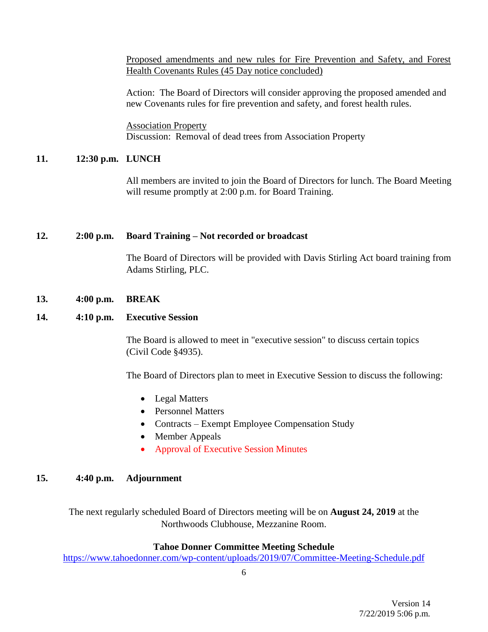Proposed amendments and new rules for Fire Prevention and Safety, and Forest Health Covenants Rules (45 Day notice concluded)

Action: The Board of Directors will consider approving the proposed amended and new Covenants rules for fire prevention and safety, and forest health rules.

Association Property Discussion: Removal of dead trees from Association Property

# **11. 12:30 p.m. LUNCH**

All members are invited to join the Board of Directors for lunch. The Board Meeting will resume promptly at 2:00 p.m. for Board Training.

# **12. 2:00 p.m. Board Training – Not recorded or broadcast**

The Board of Directors will be provided with Davis Stirling Act board training from Adams Stirling, PLC.

# **13. 4:00 p.m. BREAK**

# **14. 4:10 p.m. Executive Session**

The Board is allowed to meet in "executive session" to discuss certain topics (Civil Code §4935).

The Board of Directors plan to meet in Executive Session to discuss the following:

- Legal Matters
- Personnel Matters
- Contracts Exempt Employee Compensation Study
- Member Appeals
- Approval of Executive Session Minutes

# **15. 4:40 p.m. Adjournment**

The next regularly scheduled Board of Directors meeting will be on **August 24, 2019** at the Northwoods Clubhouse, Mezzanine Room.

# **Tahoe Donner Committee Meeting Schedule**

<https://www.tahoedonner.com/wp-content/uploads/2019/07/Committee-Meeting-Schedule.pdf>